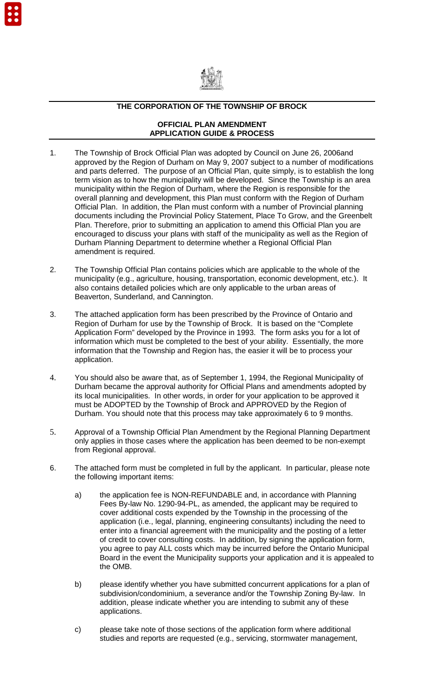

## **THE CORPORATION OF THE TOWNSHIP OF BROCK**

## **OFFICIAL PLAN AMENDMENT APPLICATION GUIDE & PROCESS**

- 1. The Township of Brock Official Plan was adopted by Council on June 26, 2006and approved by the Region of Durham on May 9, 2007 subject to a number of modifications and parts deferred. The purpose of an Official Plan, quite simply, is to establish the long term vision as to how the municipality will be developed. Since the Township is an area municipality within the Region of Durham, where the Region is responsible for the overall planning and development, this Plan must conform with the Region of Durham Official Plan. In addition, the Plan must conform with a number of Provincial planning documents including the Provincial Policy Statement, Place To Grow, and the Greenbelt Plan. Therefore, prior to submitting an application to amend this Official Plan you are encouraged to discuss your plans with staff of the municipality as well as the Region of Durham Planning Department to determine whether a Regional Official Plan amendment is required.
- 2. The Township Official Plan contains policies which are applicable to the whole of the municipality (e.g., agriculture, housing, transportation, economic development, etc.). It also contains detailed policies which are only applicable to the urban areas of Beaverton, Sunderland, and Cannington.
- 3. The attached application form has been prescribed by the Province of Ontario and Region of Durham for use by the Township of Brock. It is based on the "Complete Application Form" developed by the Province in 1993. The form asks you for a lot of information which must be completed to the best of your ability. Essentially, the more information that the Township and Region has, the easier it will be to process your application.
- 4. You should also be aware that, as of September 1, 1994, the Regional Municipality of Durham became the approval authority for Official Plans and amendments adopted by its local municipalities. In other words, in order for your application to be approved it must be ADOPTED by the Township of Brock and APPROVED by the Region of Durham. You should note that this process may take approximately 6 to 9 months.
- 5. Approval of a Township Official Plan Amendment by the Regional Planning Department only applies in those cases where the application has been deemed to be non-exempt from Regional approval.
- 6. The attached form must be completed in full by the applicant. In particular, please note the following important items:
	- a) the application fee is NON-REFUNDABLE and, in accordance with Planning Fees By-law No. 1290-94-PL, as amended, the applicant may be required to cover additional costs expended by the Township in the processing of the application (i.e., legal, planning, engineering consultants) including the need to enter into a financial agreement with the municipality and the posting of a letter of credit to cover consulting costs. In addition, by signing the application form, you agree to pay ALL costs which may be incurred before the Ontario Municipal Board in the event the Municipality supports your application and it is appealed to the OMB.
	- b) please identify whether you have submitted concurrent applications for a plan of subdivision/condominium, a severance and/or the Township Zoning By-law. In addition, please indicate whether you are intending to submit any of these applications.
	- c) please take note of those sections of the application form where additional studies and reports are requested (e.g., servicing, stormwater management,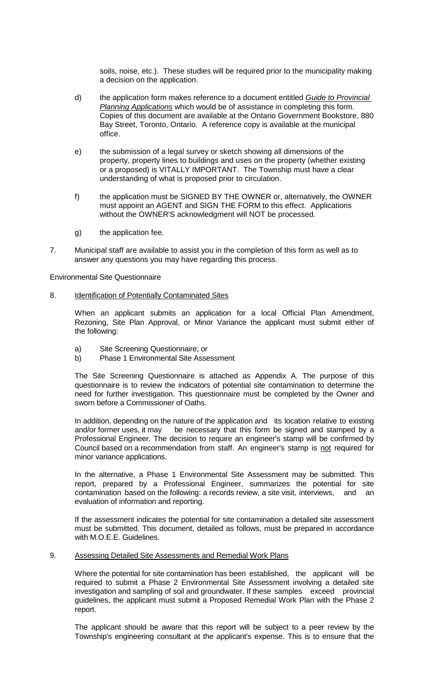soils, noise, etc.). These studies will be required prior to the municipality making a decision on the application.

- d) the application form makes reference to a document entitled Guide to Provincial Planning Applications which would be of assistance in completing this form. Copies of this document are available at the Ontario Government Bookstore, 880 Bay Street, Toronto, Ontario. A reference copy is available at the municipal office.
- e) the submission of a legal survey or sketch showing all dimensions of the property, property lines to buildings and uses on the property (whether existing or a proposed) is VITALLY IMPORTANT. The Township must have a clear understanding of what is proposed prior to circulation.
- f) the application must be SIGNED BY THE OWNER or, alternatively, the OWNER must appoint an AGENT and SIGN THE FORM to this effect. Applications without the OWNER'S acknowledgment will NOT be processed.
- g) the application fee.
- 7. Municipal staff are available to assist you in the completion of this form as well as to answer any questions you may have regarding this process.

Environmental Site Questionnaire

8. Identification of Potentially Contaminated Sites

 When an applicant submits an application for a local Official Plan Amendment, Rezoning, Site Plan Approval, or Minor Variance the applicant must submit either of the following:

- a) Site Screening Questionnaire; or
- b) Phase 1 Environmental Site Assessment

 The Site Screening Questionnaire is attached as Appendix A. The purpose of this questionnaire is to review the indicators of potential site contamination to determine the need for further investigation. This questionnaire must be completed by the Owner and sworn before a Commissioner of Oaths.

 In addition, depending on the nature of the application and its location relative to existing and/or former uses, it may be necessary that this form be signed and stamped by a Professional Engineer. The decision to require an engineer's stamp will be confirmed by Council based on a recommendation from staff. An engineer's stamp is not required for minor variance applications.

 In the alternative, a Phase 1 Environmental Site Assessment may be submitted. This report, prepared by a Professional Engineer, summarizes the potential for site contamination based on the following: a records review, a site visit, interviews, and an evaluation of information and reporting.

 If the assessment indicates the potential for site contamination a detailed site assessment must be submitted. This document, detailed as follows, must be prepared in accordance with M.O.E.E. Guidelines.

9. Assessing Detailed Site Assessments and Remedial Work Plans

 Where the potential for site contamination has been established, the applicant will be required to submit a Phase 2 Environmental Site Assessment involving a detailed site investigation and sampling of soil and groundwater. If these samples exceed provincial guidelines, the applicant must submit a Proposed Remedial Work Plan with the Phase 2 report.

 The applicant should be aware that this report will be subject to a peer review by the Township's engineering consultant at the applicant's expense. This is to ensure that the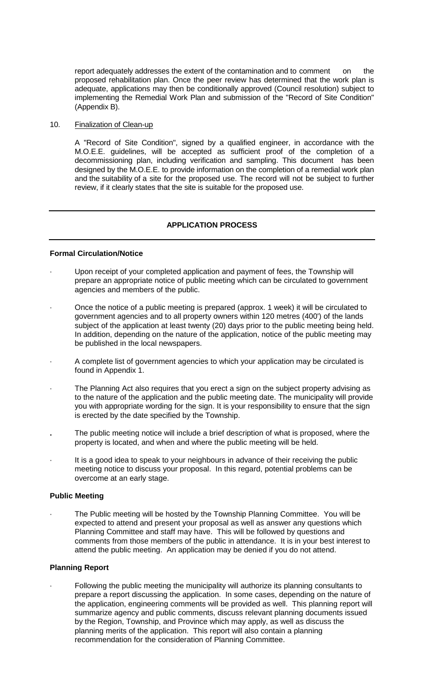report adequately addresses the extent of the contamination and to comment on the proposed rehabilitation plan. Once the peer review has determined that the work plan is adequate, applications may then be conditionally approved (Council resolution) subject to implementing the Remedial Work Plan and submission of the "Record of Site Condition" (Appendix B).

# 10. Finalization of Clean-up

 A "Record of Site Condition", signed by a qualified engineer, in accordance with the M.O.E.E. guidelines, will be accepted as sufficient proof of the completion of a decommissioning plan, including verification and sampling. This document has been designed by the M.O.E.E. to provide information on the completion of a remedial work plan and the suitability of a site for the proposed use. The record will not be subject to further review, if it clearly states that the site is suitable for the proposed use.

# **APPLICATION PROCESS**

# **Formal Circulation/Notice**

- Upon receipt of your completed application and payment of fees, the Township will prepare an appropriate notice of public meeting which can be circulated to government agencies and members of the public.
- · Once the notice of a public meeting is prepared (approx. 1 week) it will be circulated to government agencies and to all property owners within 120 metres (400') of the lands subject of the application at least twenty (20) days prior to the public meeting being held. In addition, depending on the nature of the application, notice of the public meeting may be published in the local newspapers.
- A complete list of government agencies to which your application may be circulated is found in Appendix 1.
- The Planning Act also requires that you erect a sign on the subject property advising as to the nature of the application and the public meeting date. The municipality will provide you with appropriate wording for the sign. It is your responsibility to ensure that the sign is erected by the date specified by the Township.
- **.** The public meeting notice will include a brief description of what is proposed, where the property is located, and when and where the public meeting will be held.
- It is a good idea to speak to your neighbours in advance of their receiving the public meeting notice to discuss your proposal. In this regard, potential problems can be overcome at an early stage.

#### **Public Meeting**

The Public meeting will be hosted by the Township Planning Committee. You will be expected to attend and present your proposal as well as answer any questions which Planning Committee and staff may have. This will be followed by questions and comments from those members of the public in attendance. It is in your best interest to attend the public meeting. An application may be denied if you do not attend.

#### **Planning Report**

Following the public meeting the municipality will authorize its planning consultants to prepare a report discussing the application. In some cases, depending on the nature of the application, engineering comments will be provided as well. This planning report will summarize agency and public comments, discuss relevant planning documents issued by the Region, Township, and Province which may apply, as well as discuss the planning merits of the application. This report will also contain a planning recommendation for the consideration of Planning Committee.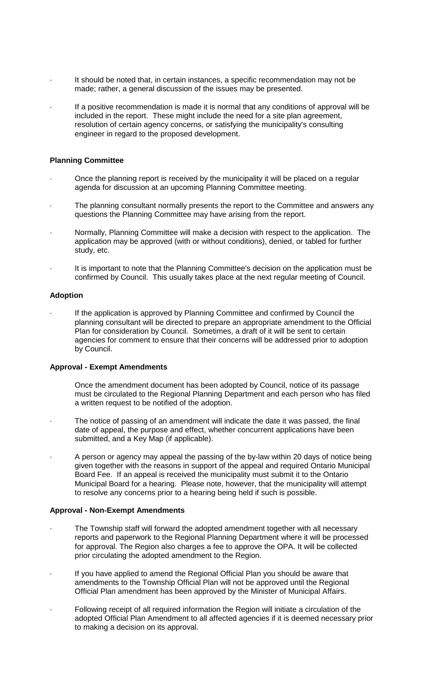- It should be noted that, in certain instances, a specific recommendation may not be made; rather, a general discussion of the issues may be presented.
- If a positive recommendation is made it is normal that any conditions of approval will be included in the report. These might include the need for a site plan agreement, resolution of certain agency concerns, or satisfying the municipality's consulting engineer in regard to the proposed development.

## **Planning Committee**

- · Once the planning report is received by the municipality it will be placed on a regular agenda for discussion at an upcoming Planning Committee meeting.
- The planning consultant normally presents the report to the Committee and answers any questions the Planning Committee may have arising from the report.
- · Normally, Planning Committee will make a decision with respect to the application. The application may be approved (with or without conditions), denied, or tabled for further study, etc.
- It is important to note that the Planning Committee's decision on the application must be confirmed by Council. This usually takes place at the next regular meeting of Council.

#### **Adoption**

If the application is approved by Planning Committee and confirmed by Council the planning consultant will be directed to prepare an appropriate amendment to the Official Plan for consideration by Council. Sometimes, a draft of it will be sent to certain agencies for comment to ensure that their concerns will be addressed prior to adoption by Council.

#### **Approval - Exempt Amendments**

- Once the amendment document has been adopted by Council, notice of its passage must be circulated to the Regional Planning Department and each person who has filed a written request to be notified of the adoption.
- The notice of passing of an amendment will indicate the date it was passed, the final date of appeal, the purpose and effect, whether concurrent applications have been submitted, and a Key Map (if applicable).
- A person or agency may appeal the passing of the by-law within 20 days of notice being given together with the reasons in support of the appeal and required Ontario Municipal Board Fee. If an appeal is received the municipality must submit it to the Ontario Municipal Board for a hearing. Please note, however, that the municipality will attempt to resolve any concerns prior to a hearing being held if such is possible.

## **Approval - Non-Exempt Amendments**

- The Township staff will forward the adopted amendment together with all necessary reports and paperwork to the Regional Planning Department where it will be processed for approval. The Region also charges a fee to approve the OPA. It will be collected prior circulating the adopted amendment to the Region.
- If you have applied to amend the Regional Official Plan you should be aware that amendments to the Township Official Plan will not be approved until the Regional Official Plan amendment has been approved by the Minister of Municipal Affairs.
- Following receipt of all required information the Region will initiate a circulation of the adopted Official Plan Amendment to all affected agencies if it is deemed necessary prior to making a decision on its approval.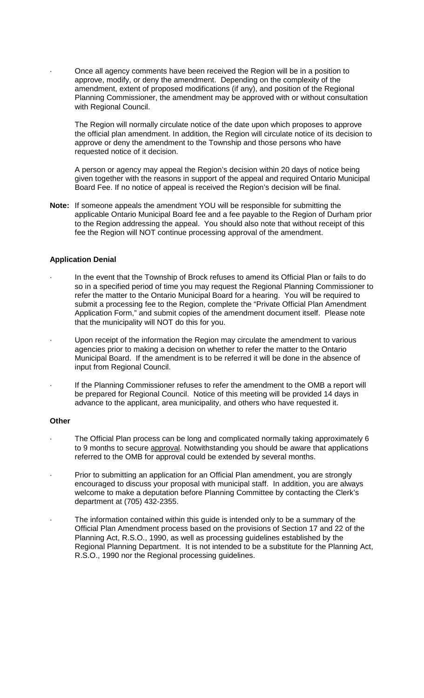Once all agency comments have been received the Region will be in a position to approve, modify, or deny the amendment. Depending on the complexity of the amendment, extent of proposed modifications (if any), and position of the Regional Planning Commissioner, the amendment may be approved with or without consultation with Regional Council.

 The Region will normally circulate notice of the date upon which proposes to approve the official plan amendment. In addition, the Region will circulate notice of its decision to approve or deny the amendment to the Township and those persons who have requested notice of it decision.

 A person or agency may appeal the Region's decision within 20 days of notice being given together with the reasons in support of the appeal and required Ontario Municipal Board Fee. If no notice of appeal is received the Region's decision will be final.

**Note:** If someone appeals the amendment YOU will be responsible for submitting the applicable Ontario Municipal Board fee and a fee payable to the Region of Durham prior to the Region addressing the appeal. You should also note that without receipt of this fee the Region will NOT continue processing approval of the amendment.

## **Application Denial**

- · In the event that the Township of Brock refuses to amend its Official Plan or fails to do so in a specified period of time you may request the Regional Planning Commissioner to refer the matter to the Ontario Municipal Board for a hearing. You will be required to submit a processing fee to the Region, complete the "Private Official Plan Amendment Application Form," and submit copies of the amendment document itself. Please note that the municipality will NOT do this for you.
- Upon receipt of the information the Region may circulate the amendment to various agencies prior to making a decision on whether to refer the matter to the Ontario Municipal Board. If the amendment is to be referred it will be done in the absence of input from Regional Council.
- If the Planning Commissioner refuses to refer the amendment to the OMB a report will be prepared for Regional Council. Notice of this meeting will be provided 14 days in advance to the applicant, area municipality, and others who have requested it.

#### **Other**

- The Official Plan process can be long and complicated normally taking approximately 6 to 9 months to secure approval. Notwithstanding you should be aware that applications referred to the OMB for approval could be extended by several months.
- · Prior to submitting an application for an Official Plan amendment, you are strongly encouraged to discuss your proposal with municipal staff. In addition, you are always welcome to make a deputation before Planning Committee by contacting the Clerk's department at (705) 432-2355.
- The information contained within this guide is intended only to be a summary of the Official Plan Amendment process based on the provisions of Section 17 and 22 of the Planning Act, R.S.O., 1990, as well as processing guidelines established by the Regional Planning Department. It is not intended to be a substitute for the Planning Act, R.S.O., 1990 nor the Regional processing guidelines.